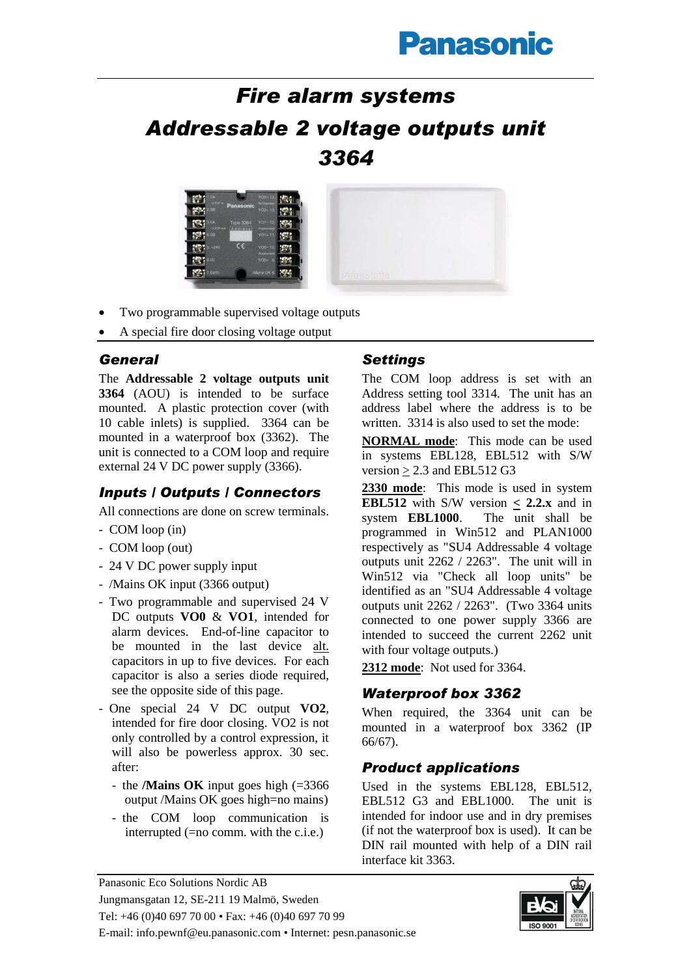# **Panasonic**

# *Fire alarm systems Addressable 2 voltage outputs unit 3364*



- Two programmable supervised voltage outputs
- A special fire door closing voltage output

#### *General*

The **Addressable 2 voltage outputs unit 3364** (AOU) is intended to be surface mounted. A plastic protection cover (with 10 cable inlets) is supplied. 3364 can be mounted in a waterproof box (3362). The unit is connected to a COM loop and require external 24 V DC power supply (3366).

# *Inputs / Outputs / Connectors*

All connections are done on screw terminals.

- COM loop (in)
- COM loop (out)
- 24 V DC power supply input
- /Mains OK input (3366 output)
- Two programmable and supervised 24 V DC outputs **VO0** & **VO1**, intended for alarm devices. End-of-line capacitor to be mounted in the last device alt. capacitors in up to five devices. For each capacitor is also a series diode required, see the opposite side of this page.
- One special 24 V DC output **VO2**, intended for fire door closing. VO2 is not only controlled by a control expression, it will also be powerless approx. 30 sec. after:
	- the **/Mains OK** input goes high (=3366 output /Mains OK goes high=no mains)
	- the COM loop communication is interrupted (=no comm. with the c.i.e.)

### *Settings*

The COM loop address is set with an Address setting tool 3314. The unit has an address label where the address is to be written. 3314 is also used to set the mode:

**NORMAL mode**: This mode can be used in systems EBL128, EBL512 with S/W version  $\geq$  2.3 and EBL512 G3

**2330 mode**: This mode is used in system **EBL512** with S/W version  $\lt$  **2.2.x** and in system **EBL1000**. The unit shall be programmed in Win512 and PLAN1000 respectively as "SU4 Addressable 4 voltage outputs unit 2262 / 2263". The unit will in Win512 via "Check all loop units" be identified as an "SU4 Addressable 4 voltage outputs unit 2262 / 2263". (Two 3364 units connected to one power supply 3366 are intended to succeed the current 2262 unit with four voltage outputs.)

**2312 mode**: Not used for 3364.

#### *Waterproof box 3362*

When required, the 3364 unit can be mounted in a waterproof box 3362 (IP 66/67).

## *Product applications*

Used in the systems EBL128, EBL512, EBL512 G3 and EBL1000. The unit is intended for indoor use and in dry premises (if not the waterproof box is used). It can be DIN rail mounted with help of a DIN rail interface kit 3363.